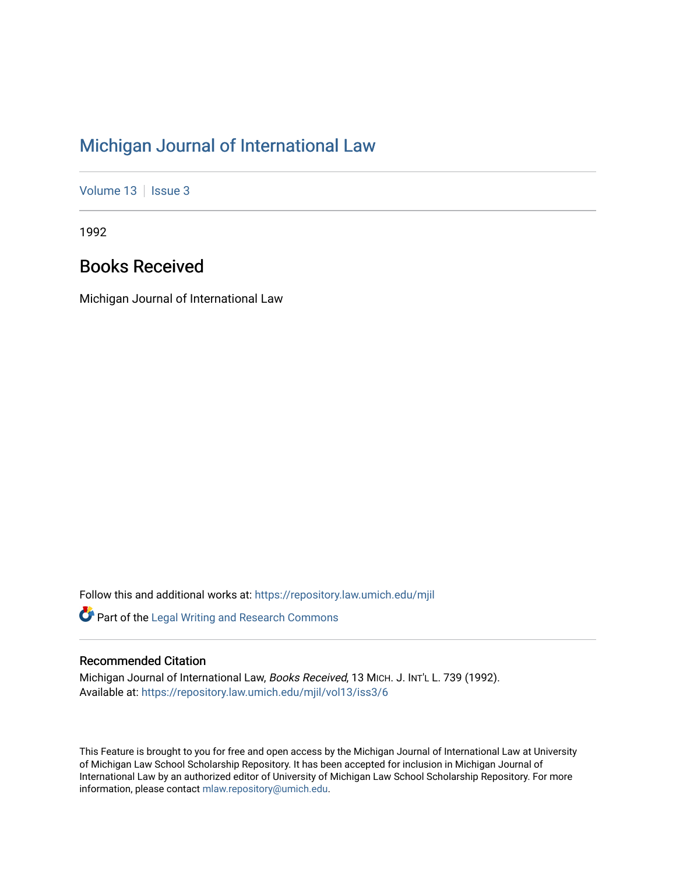## [Michigan Journal of International Law](https://repository.law.umich.edu/mjil)

[Volume 13](https://repository.law.umich.edu/mjil/vol13) | [Issue 3](https://repository.law.umich.edu/mjil/vol13/iss3)

1992

## Books Received

Michigan Journal of International Law

Follow this and additional works at: [https://repository.law.umich.edu/mjil](https://repository.law.umich.edu/mjil?utm_source=repository.law.umich.edu%2Fmjil%2Fvol13%2Fiss3%2F6&utm_medium=PDF&utm_campaign=PDFCoverPages) 

Part of the [Legal Writing and Research Commons](http://network.bepress.com/hgg/discipline/614?utm_source=repository.law.umich.edu%2Fmjil%2Fvol13%2Fiss3%2F6&utm_medium=PDF&utm_campaign=PDFCoverPages) 

## Recommended Citation

Michigan Journal of International Law, Books Received, 13 MICH. J. INT'L L. 739 (1992). Available at: [https://repository.law.umich.edu/mjil/vol13/iss3/6](https://repository.law.umich.edu/mjil/vol13/iss3/6?utm_source=repository.law.umich.edu%2Fmjil%2Fvol13%2Fiss3%2F6&utm_medium=PDF&utm_campaign=PDFCoverPages) 

This Feature is brought to you for free and open access by the Michigan Journal of International Law at University of Michigan Law School Scholarship Repository. It has been accepted for inclusion in Michigan Journal of International Law by an authorized editor of University of Michigan Law School Scholarship Repository. For more information, please contact [mlaw.repository@umich.edu](mailto:mlaw.repository@umich.edu).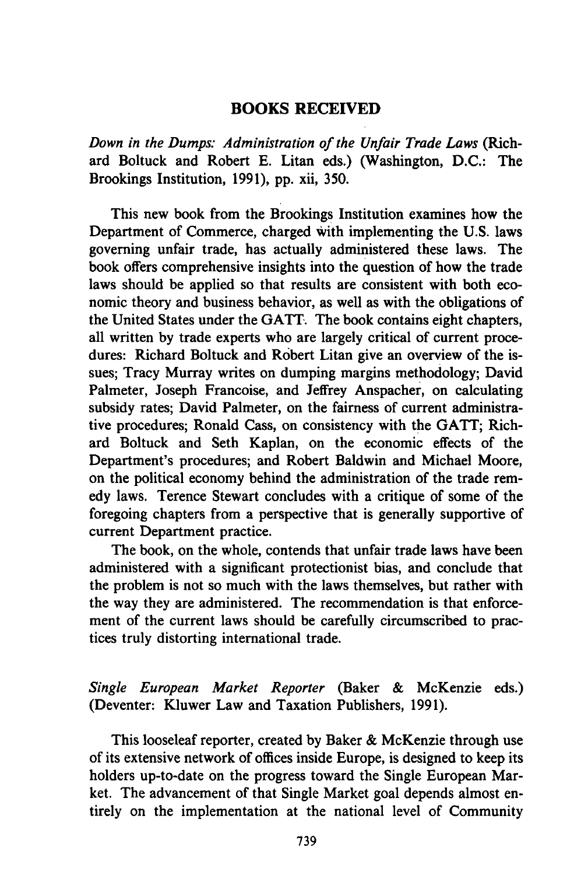## **BOOKS RECEIVED**

*Down in the Dumps: Administration of the Unfair Trade Laws* (Richard Boltuck and Robert E. Litan eds.) (Washington, **D.C.:** The Brookings Institution, **1991), pp.** xii, **350.**

This new book from the Brookings Institution examines how the Department of Commerce, charged with implementing the **U.S.** laws governing unfair trade, has actually administered these laws. The book offers comprehensive insights into the question of how the trade laws should be applied so that results are consistent with both economic theory and business behavior, as well as with the obligations of the United States under the **GATT.** The book contains eight chapters, all written **by** trade experts who are largely critical of current procedures: Richard Boltuck and Robert Litan give an overview of the issues; Tracy Murray writes on dumping margins methodology; David Palmeter, Joseph Francoise, and Jeffrey Anspacher, on calculating subsidy rates; David Palmeter, on the fairness of current administrative procedures; Ronald Cass, on consistency with the **GATT;** Richard Boltuck and Seth Kaplan, on the economic effects of the Department's procedures; and Robert Baldwin and Michael Moore, on the political economy behind the administration of the trade remedy laws. Terence Stewart concludes with a critique of some of the foregoing chapters from a perspective that is generally supportive of current Department practice.

The book, on the whole, contends that unfair trade laws have been administered with a significant protectionist bias, and conclude that the problem is not so much with the laws themselves, but rather with the way they are administered. The recommendation is that enforcement of the current laws should be carefully circumscribed to practices truly distorting international trade.

*Single European Market Reporter* (Baker **&** McKenzie eds.) (Deventer: Kluwer Law and Taxation Publishers, **1991).**

This looseleaf reporter, created **by** Baker **&** McKenzie through use of its extensive network of offices inside Europe, is designed to keep its holders up-to-date on the progress toward the Single European Market. The advancement of that Single Market goal depends almost entirely on the implementation at the national level of Community